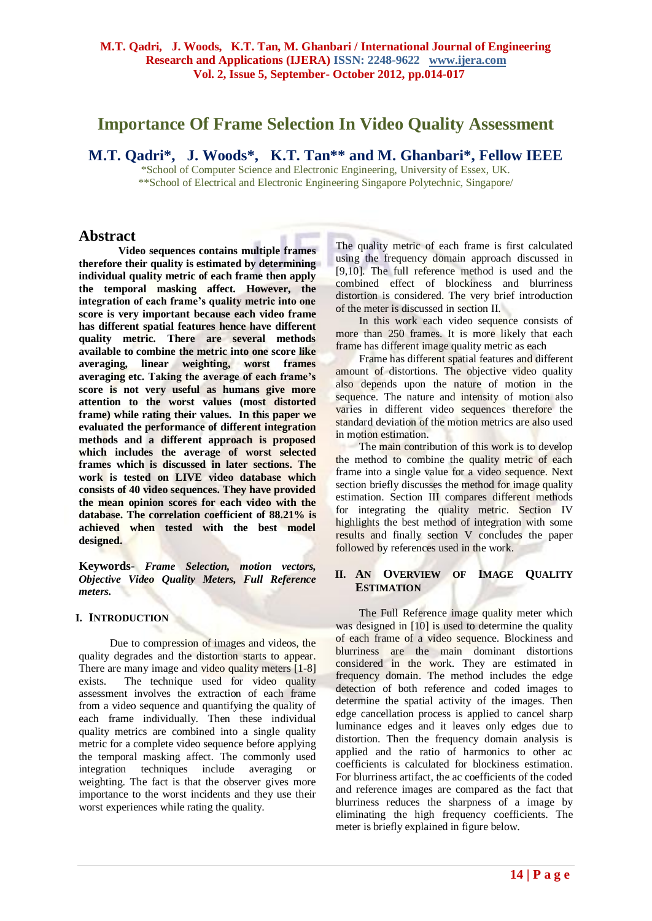# **Importance Of Frame Selection In Video Quality Assessment**

**M.T. Qadri\*, J. Woods\*, K.T. Tan\*\* and M. Ghanbari\*, Fellow IEEE**

\*School of Computer Science and Electronic Engineering, University of Essex, UK. \*\*School of Electrical and Electronic Engineering Singapore Polytechnic, Singapore/

# **Abstract**

**Video sequences contains multiple frames therefore their quality is estimated by determining individual quality metric of each frame then apply the temporal masking affect. However, the integration of each frame's quality metric into one score is very important because each video frame has different spatial features hence have different quality metric. There are several methods available to combine the metric into one score like averaging, linear weighting, worst frames averaging etc. Taking the average of each frame's score is not very useful as humans give more attention to the worst values (most distorted frame) while rating their values. In this paper we evaluated the performance of different integration methods and a different approach is proposed which includes the average of worst selected frames which is discussed in later sections. The work is tested on LIVE video database which consists of 40 video sequences. They have provided the mean opinion scores for each video with the database. The correlation coefficient of 88.21% is achieved when tested with the best model designed.**

**Keywords-** *Frame Selection, motion vectors, Objective Video Quality Meters, Full Reference meters.*

# **I. INTRODUCTION**

Due to compression of images and videos, the quality degrades and the distortion starts to appear. There are many image and video quality meters [1-8] exists. The technique used for video quality assessment involves the extraction of each frame from a video sequence and quantifying the quality of each frame individually. Then these individual quality metrics are combined into a single quality metric for a complete video sequence before applying the temporal masking affect. The commonly used integration techniques include averaging or weighting. The fact is that the observer gives more importance to the worst incidents and they use their worst experiences while rating the quality.

The quality metric of each frame is first calculated using the frequency domain approach discussed in [9,10]. The full reference method is used and the combined effect of blockiness and blurriness distortion is considered. The very brief introduction of the meter is discussed in section II.

In this work each video sequence consists of more than 250 frames. It is more likely that each frame has different image quality metric as each

Frame has different spatial features and different amount of distortions. The objective video quality also depends upon the nature of motion in the sequence. The nature and intensity of motion also varies in different video sequences therefore the standard deviation of the motion metrics are also used in motion estimation.

The main contribution of this work is to develop the method to combine the quality metric of each frame into a single value for a video sequence. Next section briefly discusses the method for image quality estimation. Section III compares different methods for integrating the quality metric. Section IV highlights the best method of integration with some results and finally section V concludes the paper followed by references used in the work.

# **II. AN OVERVIEW OF IMAGE QUALITY ESTIMATION**

The Full Reference image quality meter which was designed in [10] is used to determine the quality of each frame of a video sequence. Blockiness and blurriness are the main dominant distortions considered in the work. They are estimated in frequency domain. The method includes the edge detection of both reference and coded images to determine the spatial activity of the images. Then edge cancellation process is applied to cancel sharp luminance edges and it leaves only edges due to distortion. Then the frequency domain analysis is applied and the ratio of harmonics to other ac coefficients is calculated for blockiness estimation. For blurriness artifact, the ac coefficients of the coded and reference images are compared as the fact that blurriness reduces the sharpness of a image by eliminating the high frequency coefficients. The meter is briefly explained in figure below.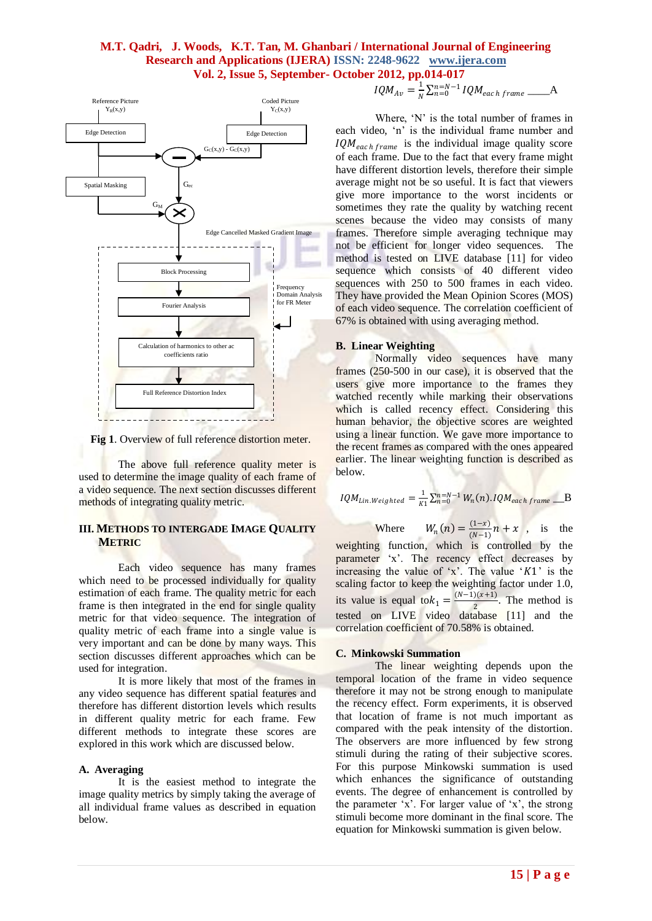# **M.T. Qadri, J. Woods, K.T. Tan, M. Ghanbari / International Journal of Engineering Research and Applications (IJERA) ISSN: 2248-9622 www.ijera.com Vol. 2, Issue 5, September- October 2012, pp.014-017**



Fig 1. Overview of full reference distortion meter.

The above full reference quality meter is used to determine the image quality of each frame of a video sequence. The next section discusses different methods of integrating quality metric.

## **III. METHODS TO INTERGADE IMAGE QUALITY METRIC**

Each video sequence has many frames which need to be processed individually for quality estimation of each frame. The quality metric for each frame is then integrated in the end for single quality metric for that video sequence. The integration of quality metric of each frame into a single value is very important and can be done by many ways. This section discusses different approaches which can be used for integration.

It is more likely that most of the frames in any video sequence has different spatial features and therefore has different distortion levels which results in different quality metric for each frame. Few different methods to integrate these scores are explored in this work which are discussed below.

## **A. Averaging**

It is the easiest method to integrate the image quality metrics by simply taking the average of all individual frame values as described in equation below.

$$
IQM_{Av} = \frac{1}{N} \sum_{n=0}^{N=N-1} IQM_{each frame}
$$

Where, 'N' is the total number of frames in each video, 'n' is the individual frame number and  $IQM_{each frame}$  is the individual image quality score of each frame. Due to the fact that every frame might have different distortion levels, therefore their simple average might not be so useful. It is fact that viewers give more importance to the worst incidents or sometimes they rate the quality by watching recent scenes because the video may consists of many frames. Therefore simple averaging technique may not be efficient for longer video sequences. The method is tested on LIVE database [11] for video sequence which consists of 40 different video sequences with 250 to 500 frames in each video. They have provided the Mean Opinion Scores (MOS) of each video sequence. The correlation coefficient of 67% is obtained with using averaging method.

## **B. Linear Weighting**

Normally video sequences have many frames (250-500 in our case), it is observed that the users give more importance to the frames they watched recently while marking their observations which is called recency effect. Considering this human behavior, the objective scores are weighted using a linear function. We gave more importance to the recent frames as compared with the ones appeared earlier. The linear weighting function is described as below.

$$
IQM_{Lin. Weighted} = \frac{1}{K1} \sum_{n=0}^{n=N-1} W_n(n).IQM_{each frame} \_B
$$

Where  $(n) = \frac{(1-x)}{(N-1)}$  $\frac{(1-x)}{(N-1)}n + x$ , is the weighting function, which is controlled by the parameter 'x'. The recency effect decreases by increasing the value of 'x'. The value ' $K1$ ' is the scaling factor to keep the weighting factor under 1.0, its value is equal to  $k_1 = \frac{(N-1)(x+1)}{2}$  $\frac{2(1+1)}{2}$ . The method is tested on LIVE video database [11] and the correlation coefficient of 70.58% is obtained.

## **C. Minkowski Summation**

The linear weighting depends upon the temporal location of the frame in video sequence therefore it may not be strong enough to manipulate the recency effect. Form experiments, it is observed that location of frame is not much important as compared with the peak intensity of the distortion. The observers are more influenced by few strong stimuli during the rating of their subjective scores. For this purpose Minkowski summation is used which enhances the significance of outstanding events. The degree of enhancement is controlled by the parameter  $x'$ . For larger value of  $x'$ , the strong stimuli become more dominant in the final score. The equation for Minkowski summation is given below.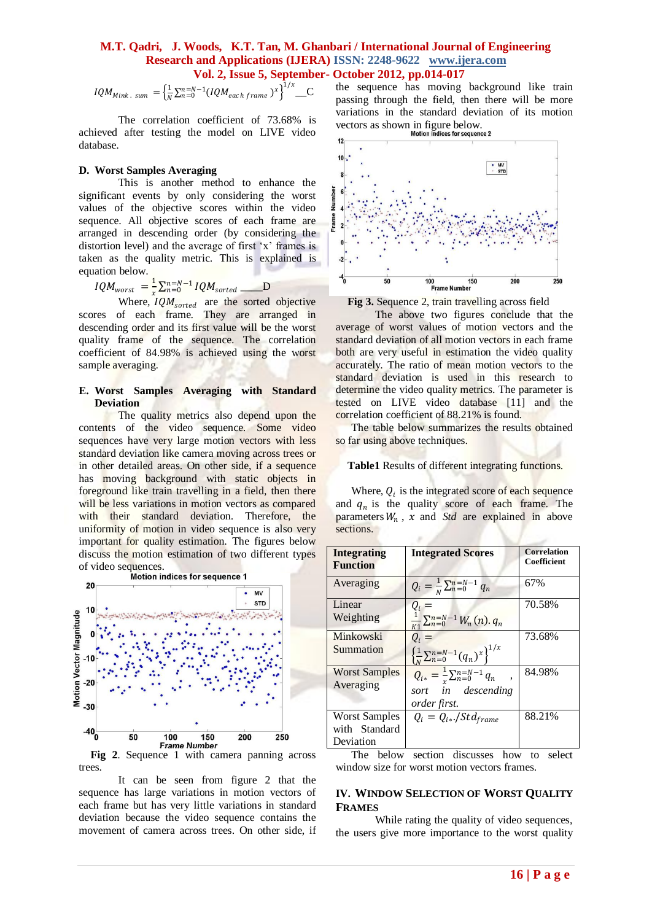## **M.T. Qadri, J. Woods, K.T. Tan, M. Ghanbari / International Journal of Engineering Research and Applications (IJERA) ISSN: 2248-9622 www.ijera.com Vol. 2, Issue 5, September- October 2012, pp.014-017**

*IQM<sub>Mink. sum</sub>* = 
$$
\left\{ \frac{1}{N} \sum_{n=0}^{N-1} (IQM_{each frame})^x \right\}^{1/x}
$$
 \_C

The correlation coefficient of 73.68% is achieved after testing the model on LIVE video database.

#### **D. Worst Samples Averaging**

This is another method to enhance the significant events by only considering the worst values of the objective scores within the video sequence. All objective scores of each frame are arranged in descending order (by considering the distortion level) and the average of first 'x' frames is taken as the quality metric. This is explained is equation below.

$$
IQM_{worst} = \frac{1}{r} \sum_{n=0}^{n=N-1} IQM_{sorted} \qquad D
$$

Where,  $IQM_{sorted}$  are the sorted objective scores of each frame. They are arranged in descending order and its first value will be the worst quality frame of the sequence. The correlation coefficient of 84.98% is achieved using the worst sample averaging.

#### **E. Worst Samples Averaging with Standard Deviation**

The quality metrics also depend upon the contents of the video sequence. Some video sequences have very large motion vectors with less standard deviation like camera moving across trees or in other detailed areas. On other side, if a sequence has moving background with static objects in foreground like train travelling in a field, then there will be less variations in motion vectors as compared with their standard deviation. Therefore, the uniformity of motion in video sequence is also very important for quality estimation. The figures below discuss the motion estimation of two different types



trees.

It can be seen from figure 2 that the sequence has large variations in motion vectors of each frame but has very little variations in standard deviation because the video sequence contains the movement of camera across trees. On other side, if the sequence has moving background like train passing through the field, then there will be more variations in the standard deviation of its motion vectors as shown in figure below.



**Fig 3.** Sequence 2, train travelling across field

The above two figures conclude that the average of worst values of motion vectors and the standard deviation of all motion vectors in each frame both are very useful in estimation the video quality accurately. The ratio of mean motion vectors to the standard deviation is used in this research to determine the video quality metrics. The parameter is tested on LIVE video database [11] and the correlation coefficient of 88.21% is found.

The table below summarizes the results obtained so far using above techniques.

**Table1** Results of different integrating functions.

Where,  $Q_i$  is the integrated score of each sequence and  $q_n$  is the quality score of each frame. The parameters  $W_n$ ,  $x$  and *Std* are explained in above sections.

| <b>Integrating</b>   | <b>Integrated Scores</b>                                    | <b>Correlation</b> |
|----------------------|-------------------------------------------------------------|--------------------|
| <b>Function</b>      |                                                             | Coefficient        |
|                      |                                                             |                    |
| Averaging            | $Q_i = \frac{1}{N} \sum_{n=0}^{N-N-1} q_n$                  | 67%                |
| Linear               | $Q_i =$                                                     | 70.58%             |
| Weighting            | $\frac{1}{K1}\sum_{n=0}^{n=N-1}W_n(n).q_n$                  |                    |
| Minkowski            | $Q_i =$                                                     | 73.68%             |
| Summation            | $\left\{\frac{1}{N}\sum_{n=0}^{N-N-1}(q_n)^x\right\}^{1/x}$ |                    |
| <b>Worst Samples</b> | $Q_{i*} = \frac{1}{r} \sum_{n=0}^{n=N-1} q_n$ ,             | 84.98%             |
| Averaging            | sort in descending                                          |                    |
|                      | order first.                                                |                    |
| <b>Worst Samples</b> | $Q_i = Q_{i*}$ ./Std <sub>frame</sub>                       | 88.21%             |
| with Standard        |                                                             |                    |
| Deviation            |                                                             |                    |

The below section discusses how to select window size for worst motion vectors frames.

#### **IV. WINDOW SELECTION OF WORST QUALITY FRAMES**

While rating the quality of video sequences, the users give more importance to the worst quality